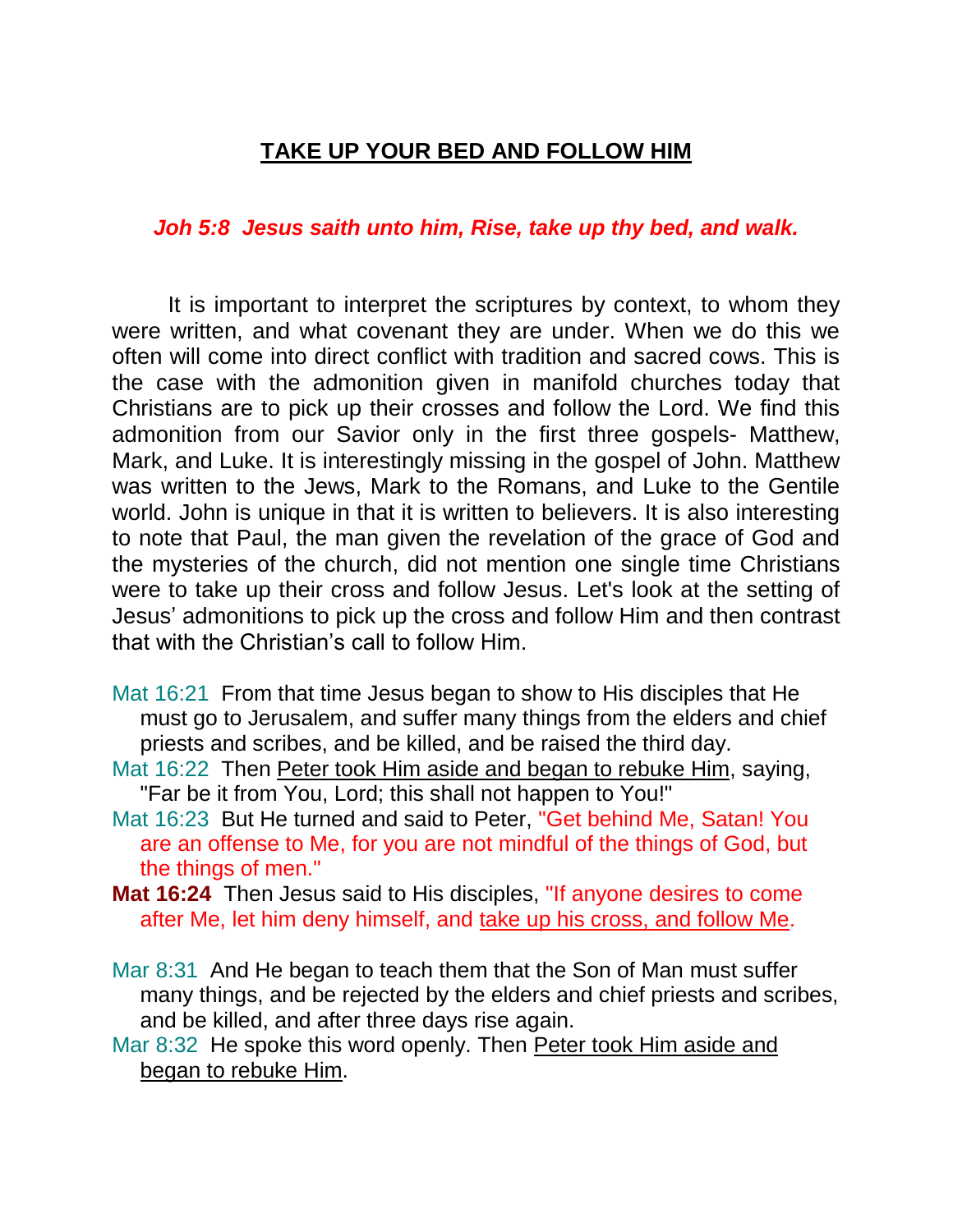## **TAKE UP YOUR BED AND FOLLOW HIM**

## *Joh 5:8 Jesus saith unto him, Rise, take up thy bed, and walk.*

It is important to interpret the scriptures by context, to whom they were written, and what covenant they are under. When we do this we often will come into direct conflict with tradition and sacred cows. This is the case with the admonition given in manifold churches today that Christians are to pick up their crosses and follow the Lord. We find this admonition from our Savior only in the first three gospels- Matthew, Mark, and Luke. It is interestingly missing in the gospel of John. Matthew was written to the Jews, Mark to the Romans, and Luke to the Gentile world. John is unique in that it is written to believers. It is also interesting to note that Paul, the man given the revelation of the grace of God and the mysteries of the church, did not mention one single time Christians were to take up their cross and follow Jesus. Let's look at the setting of Jesus' admonitions to pick up the cross and follow Him and then contrast that with the Christian's call to follow Him.

- Mat 16:21 From that time Jesus began to show to His disciples that He must go to Jerusalem, and suffer many things from the elders and chief priests and scribes, and be killed, and be raised the third day.
- Mat 16:22 Then Peter took Him aside and began to rebuke Him, saying, "Far be it from You, Lord; this shall not happen to You!"
- Mat 16:23 But He turned and said to Peter, "Get behind Me, Satan! You are an offense to Me, for you are not mindful of the things of God, but the things of men."
- **Mat 16:24** Then Jesus said to His disciples, "If anyone desires to come after Me, let him deny himself, and take up his cross, and follow Me.
- Mar 8:31 And He began to teach them that the Son of Man must suffer many things, and be rejected by the elders and chief priests and scribes, and be killed, and after three days rise again.
- Mar 8:32 He spoke this word openly. Then Peter took Him aside and began to rebuke Him.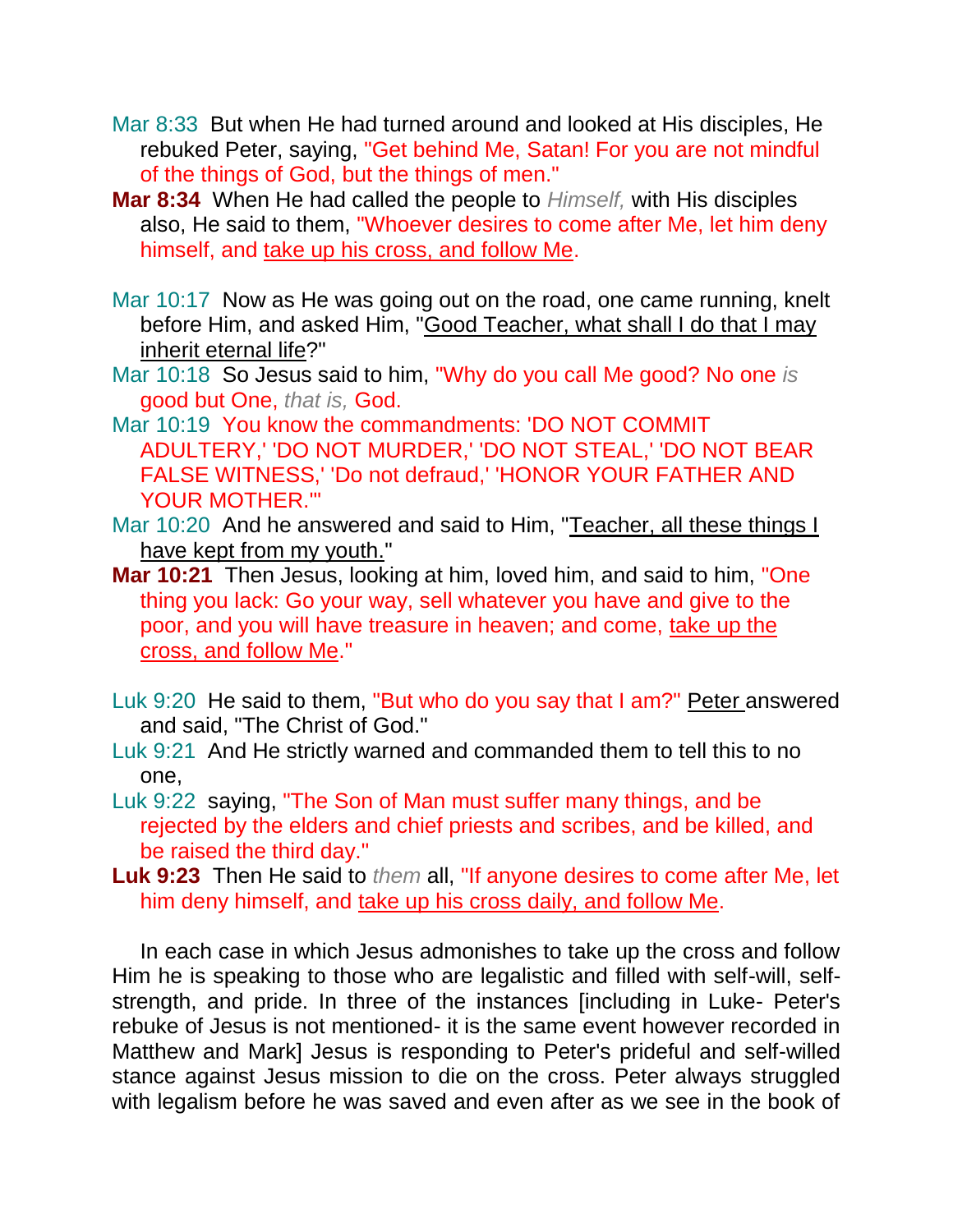- Mar 8:33 But when He had turned around and looked at His disciples, He rebuked Peter, saying, "Get behind Me, Satan! For you are not mindful of the things of God, but the things of men."
- **Mar 8:34** When He had called the people to *Himself,* with His disciples also, He said to them, "Whoever desires to come after Me, let him deny himself, and take up his cross, and follow Me.
- Mar 10:17 Now as He was going out on the road, one came running, knelt before Him, and asked Him, "Good Teacher, what shall I do that I may inherit eternal life?"
- Mar 10:18 So Jesus said to him, "Why do you call Me good? No one *is* good but One, *that is,* God.
- Mar 10:19 You know the commandments: 'DO NOT COMMIT ADULTERY,' 'DO NOT MURDER,' 'DO NOT STEAL,' 'DO NOT BEAR FALSE WITNESS,' 'Do not defraud,' 'HONOR YOUR FATHER AND YOUR MOTHER.'"
- Mar 10:20 And he answered and said to Him, "Teacher, all these things I have kept from my youth."
- **Mar 10:21** Then Jesus, looking at him, loved him, and said to him, "One thing you lack: Go your way, sell whatever you have and give to the poor, and you will have treasure in heaven; and come, take up the cross, and follow Me."
- Luk 9:20 He said to them, "But who do you say that I am?" Peter answered and said, "The Christ of God."
- Luk 9:21 And He strictly warned and commanded them to tell this to no one,
- Luk 9:22 saying, "The Son of Man must suffer many things, and be rejected by the elders and chief priests and scribes, and be killed, and be raised the third day."
- **Luk 9:23** Then He said to *them* all, "If anyone desires to come after Me, let him deny himself, and take up his cross daily, and follow Me.

In each case in which Jesus admonishes to take up the cross and follow Him he is speaking to those who are legalistic and filled with self-will, selfstrength, and pride. In three of the instances [including in Luke- Peter's rebuke of Jesus is not mentioned- it is the same event however recorded in Matthew and Mark] Jesus is responding to Peter's prideful and self-willed stance against Jesus mission to die on the cross. Peter always struggled with legalism before he was saved and even after as we see in the book of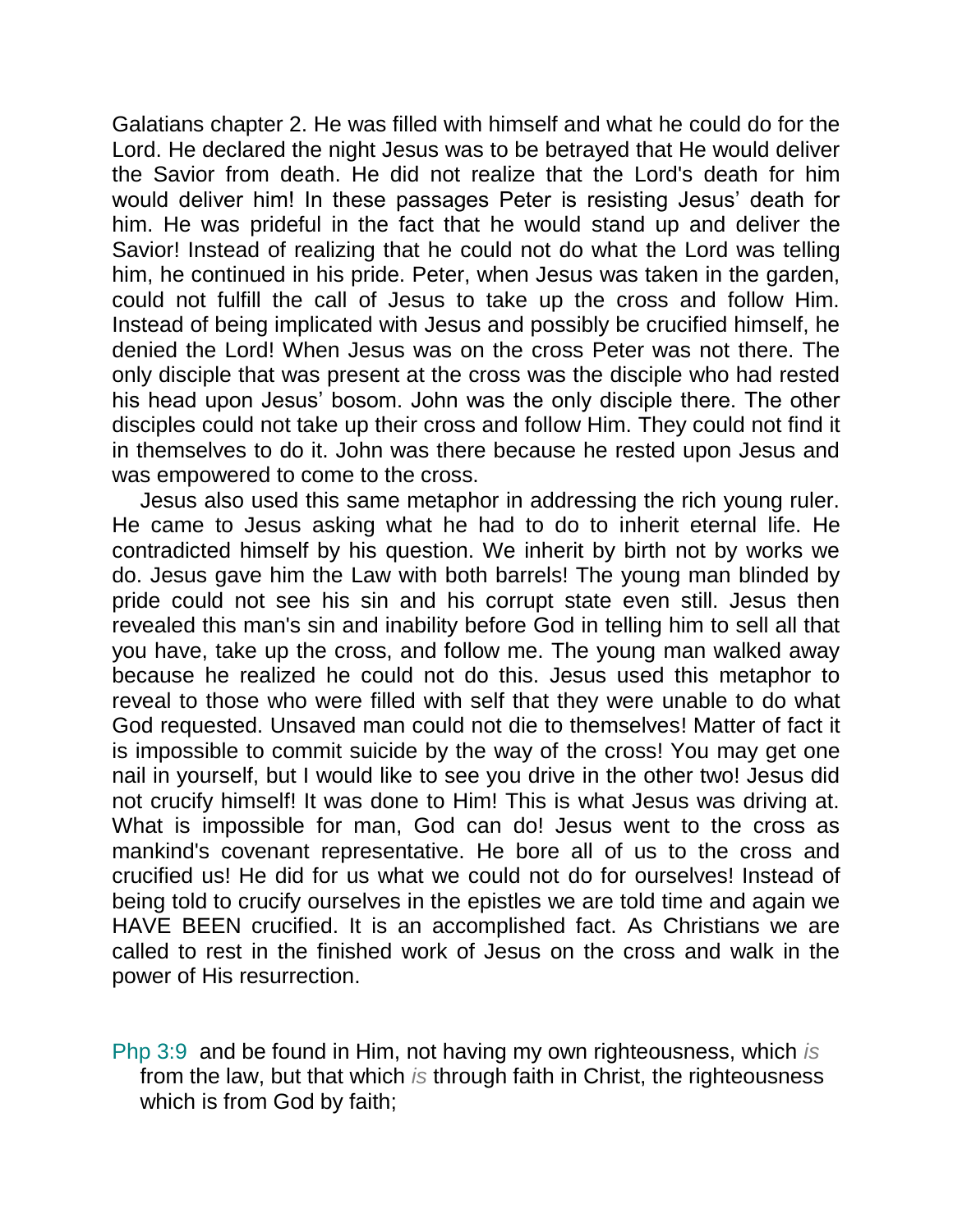Galatians chapter 2. He was filled with himself and what he could do for the Lord. He declared the night Jesus was to be betrayed that He would deliver the Savior from death. He did not realize that the Lord's death for him would deliver him! In these passages Peter is resisting Jesus' death for him. He was prideful in the fact that he would stand up and deliver the Savior! Instead of realizing that he could not do what the Lord was telling him, he continued in his pride. Peter, when Jesus was taken in the garden, could not fulfill the call of Jesus to take up the cross and follow Him. Instead of being implicated with Jesus and possibly be crucified himself, he denied the Lord! When Jesus was on the cross Peter was not there. The only disciple that was present at the cross was the disciple who had rested his head upon Jesus' bosom. John was the only disciple there. The other disciples could not take up their cross and follow Him. They could not find it in themselves to do it. John was there because he rested upon Jesus and was empowered to come to the cross.

Jesus also used this same metaphor in addressing the rich young ruler. He came to Jesus asking what he had to do to inherit eternal life. He contradicted himself by his question. We inherit by birth not by works we do. Jesus gave him the Law with both barrels! The young man blinded by pride could not see his sin and his corrupt state even still. Jesus then revealed this man's sin and inability before God in telling him to sell all that you have, take up the cross, and follow me. The young man walked away because he realized he could not do this. Jesus used this metaphor to reveal to those who were filled with self that they were unable to do what God requested. Unsaved man could not die to themselves! Matter of fact it is impossible to commit suicide by the way of the cross! You may get one nail in yourself, but I would like to see you drive in the other two! Jesus did not crucify himself! It was done to Him! This is what Jesus was driving at. What is impossible for man, God can do! Jesus went to the cross as mankind's covenant representative. He bore all of us to the cross and crucified us! He did for us what we could not do for ourselves! Instead of being told to crucify ourselves in the epistles we are told time and again we HAVE BEEN crucified. It is an accomplished fact. As Christians we are called to rest in the finished work of Jesus on the cross and walk in the power of His resurrection.

Php 3:9 and be found in Him, not having my own righteousness, which *is* from the law, but that which *is* through faith in Christ, the righteousness which is from God by faith;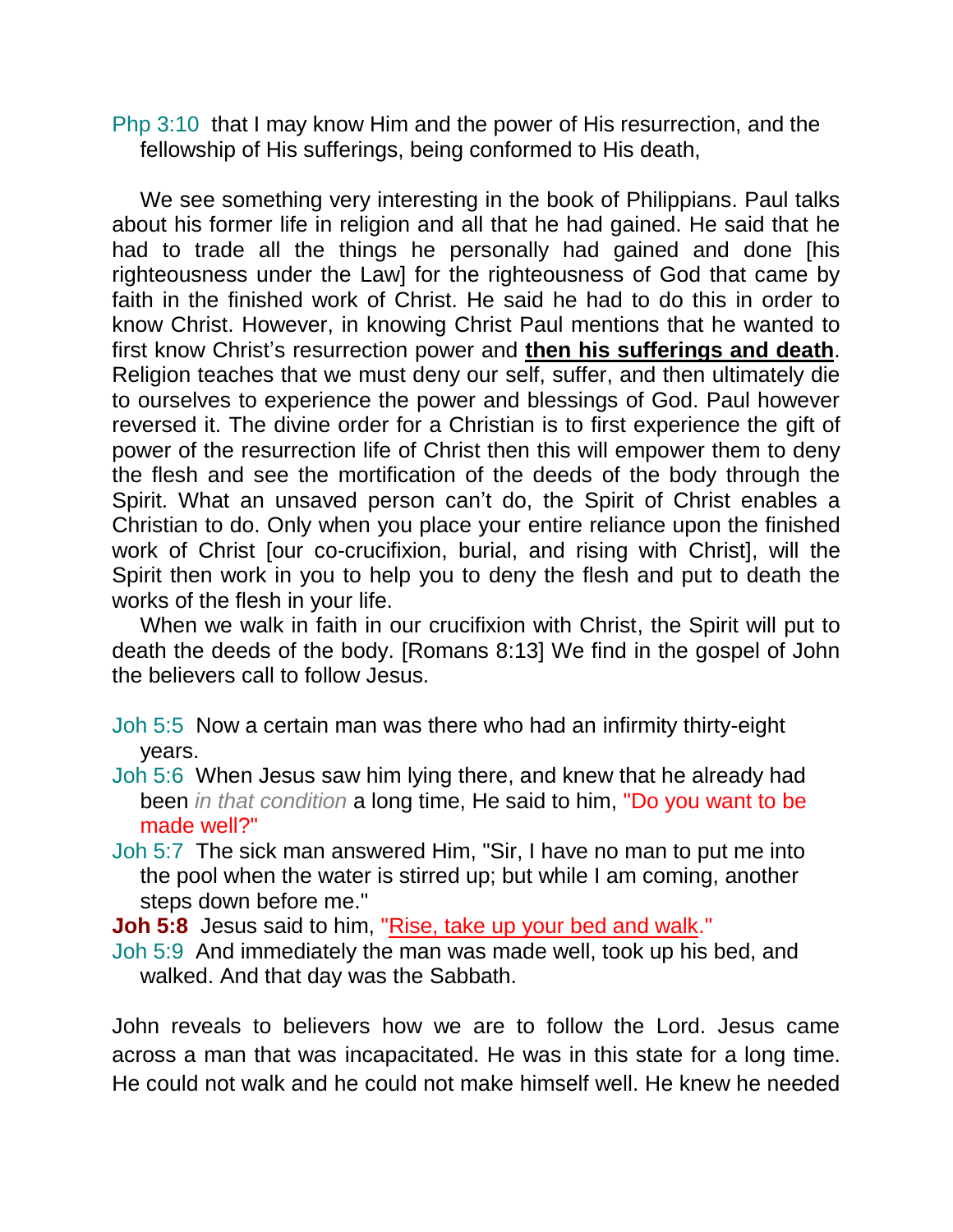Php 3:10 that I may know Him and the power of His resurrection, and the fellowship of His sufferings, being conformed to His death,

We see something very interesting in the book of Philippians. Paul talks about his former life in religion and all that he had gained. He said that he had to trade all the things he personally had gained and done [his righteousness under the Law] for the righteousness of God that came by faith in the finished work of Christ. He said he had to do this in order to know Christ. However, in knowing Christ Paul mentions that he wanted to first know Christ's resurrection power and **then his sufferings and death**. Religion teaches that we must deny our self, suffer, and then ultimately die to ourselves to experience the power and blessings of God. Paul however reversed it. The divine order for a Christian is to first experience the gift of power of the resurrection life of Christ then this will empower them to deny the flesh and see the mortification of the deeds of the body through the Spirit. What an unsaved person can't do, the Spirit of Christ enables a Christian to do. Only when you place your entire reliance upon the finished work of Christ [our co-crucifixion, burial, and rising with Christ], will the Spirit then work in you to help you to deny the flesh and put to death the works of the flesh in your life.

When we walk in faith in our crucifixion with Christ, the Spirit will put to death the deeds of the body. [Romans 8:13] We find in the gospel of John the believers call to follow Jesus.

Joh 5:5 Now a certain man was there who had an infirmity thirty-eight years.

- Joh 5:6 When Jesus saw him lying there, and knew that he already had been *in that condition* a long time, He said to him, "Do you want to be made well?"
- Joh 5:7 The sick man answered Him, "Sir, I have no man to put me into the pool when the water is stirred up; but while I am coming, another steps down before me."

**Joh 5:8** Jesus said to him, "Rise, take up your bed and walk."

Joh 5:9 And immediately the man was made well, took up his bed, and walked. And that day was the Sabbath.

John reveals to believers how we are to follow the Lord. Jesus came across a man that was incapacitated. He was in this state for a long time. He could not walk and he could not make himself well. He knew he needed